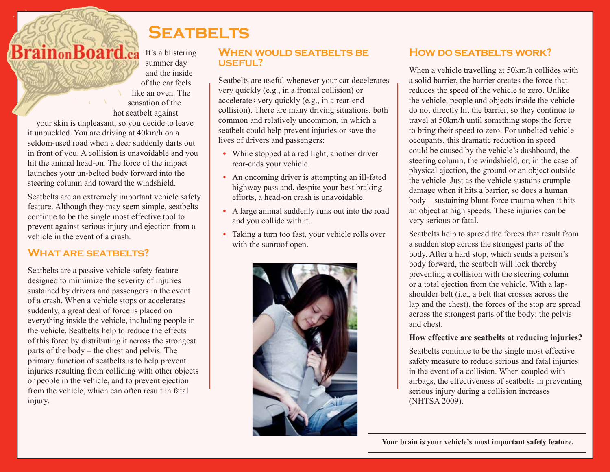# **BrainonBoard.ca**

It's a blistering summer day and the inside of the car feels like an oven. The sensation of the hot seatbelt against

**Seatbelts**

your skin is unpleasant, so you decide to leave it unbuckled. You are driving at 40km/h on a seldom-used road when a deer suddenly darts out in front of you. A collision is unavoidable and you hit the animal head-on. The force of the impact launches your un-belted body forward into the steering column and toward the windshield.

Seatbelts are an extremely important vehicle safety feature. Although they may seem simple, seatbelts continue to be the single most effective tool to prevent against serious injury and ejection from a vehicle in the event of a crash.

## **What are seatbelts?**

Seatbelts are a passive vehicle safety feature designed to mimimize the severity of injuries sustained by drivers and passengers in the event of a crash. When a vehicle stops or accelerates suddenly, a great deal of force is placed on everything inside the vehicle, including people in the vehicle. Seatbelts help to reduce the effects of this force by distributing it across the strongest parts of the body – the chest and pelvis. The primary function of seatbelts is to help prevent injuries resulting from colliding with other objects or people in the vehicle, and to prevent ejection from the vehicle, which can often result in fatal injury.

### **When would seatbelts be useful?**

Seatbelts are useful whenever your car decelerates very quickly (e.g., in a frontal collision) or accelerates very quickly (e.g., in a rear-end collision). There are many driving situations, both common and relatively uncommon, in which a seatbelt could help prevent injuries or save the lives of drivers and passengers:

- While stopped at a red light, another driver rear-ends your vehicle.
- **•** An oncoming driver is attempting an ill-fated highway pass and, despite your best braking efforts, a head-on crash is unavoidable.
- **•** A large animal suddenly runs out into the road and you collide with it.
- **•** Taking a turn too fast, your vehicle rolls over with the sunroof open.



## **HOW DO SEATBELTS WORK?**

When a vehicle travelling at 50km/h collides with a solid barrier, the barrier creates the force that reduces the speed of the vehicle to zero. Unlike the vehicle, people and objects inside the vehicle do not directly hit the barrier, so they continue to travel at 50km/h until something stops the force to bring their speed to zero. For unbelted vehicle occupants, this dramatic reduction in speed could be caused by the vehicle's dashboard, the steering column, the windshield, or, in the case of physical ejection, the ground or an object outside the vehicle. Just as the vehicle sustains crumple damage when it hits a barrier, so does a human body—sustaining blunt-force trauma when it hits an object at high speeds. These injuries can be very serious or fatal.

Seatbelts help to spread the forces that result from a sudden stop across the strongest parts of the body. After a hard stop, which sends a person's body forward, the seatbelt will lock thereby preventing a collision with the steering column or a total ejection from the vehicle. With a lapshoulder belt (i.e., a belt that crosses across the lap and the chest), the forces of the stop are spread across the strongest parts of the body: the pelvis and chest.

#### **How effective are seatbelts at reducing injuries?**

Seatbelts continue to be the single most effective safety measure to reduce serious and fatal injuries in the event of a collision. When coupled with airbags, the effectiveness of seatbelts in preventing serious injury during a collision increases (NHTSA 2009).

 **Your brain is your vehicle's most important safety feature.**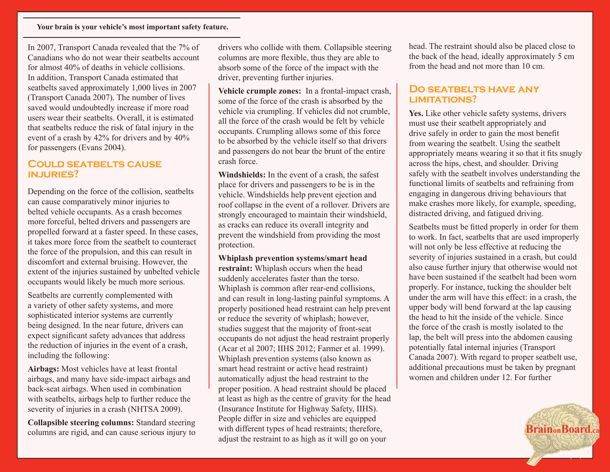In 2007, Transport Canada revealed that the 7% of Canadians who do not wear their seatbelts account for almost 40% of deaths in vehicle collisions. In addition, Transport Canada estimated that seatbelts saved approximately 1,000 lives in 2007 (Transport Canada 2007). The number of lives saved would undoubtedly increase if more road users wear their seatbelts. Overall, it is estimated that seatbelts reduce the risk of fatal injury in the event of a crash by 42% for drivers and by 40% for passengers (Evans 2004).

#### **Could seatbelts cause injuries?**

Depending on the force of the collision, seatbelts can cause comparatively minor injuries to belted vehicle occupants. As a crash becomes more forceful, belted drivers and passengers are propelled forward at a faster speed. In these cases, it takes more force from the seatbelt to counteract the force of the propulsion, and this can result in discomfort and external bruising. However, the extent of the injuries sustained by unbelted vehicle occupants would likely be much more serious.

Seatbelts are currently complemented with a variety of other safety systems, and more sophisticated interior systems are currently being designed. In the near future, drivers can expect significant safety advances that address the reduction of injuries in the event of a crash, including the following:

**Airbags:** Most vehicles have at least frontal airbags, and many have side-impact airbags and back-seat airbags. When used in combination with seatbelts, airbags help to further reduce the severity of injuries in a crash (NHTSA 2009).

**Collapsible steering columns:** Standard steering columns are rigid, and can cause serious injury to drivers who collide with them. Collapsible steering columns are more flexible, thus they are able to absorb some of the force of the impact with the driver, preventing further injuries.

**Vehicle crumple zones:** In a frontal-impact crash, some of the force of the crash is absorbed by the vehicle via crumpling. If vehicles did not crumble, all the force of the crash would be felt by vehicle occupants. Crumpling allows some of this force to be absorbed by the vehicle itself so that drivers and passengers do not bear the brunt of the entire crash force.

**Windshields:** In the event of a crash, the safest place for drivers and passengers to be is in the vehicle. Windshields help prevent ejection and roof collapse in the event of a rollover. Drivers are strongly encouraged to maintain their windshield, as cracks can reduce its overall integrity and prevent the windshield from providing the most protection.

**Whiplash prevention systems/smart head restraint:** Whiplash occurs when the head suddenly accelerates faster than the torso. Whiplash is common after rear-end collisions, and can result in long-lasting painful symptoms. A properly positioned head restraint can help prevent or reduce the severity of whiplash; however, studies suggest that the majority of front-seat occupants do not adjust the head restraint properly (Acar et al 2007; IIHS 2012; Farmer et al. 1999). Whiplash prevention systems (also known as smart head restraint or active head restraint) automatically adjust the head restraint to the proper position. A head restraint should be placed at least as high as the centre of gravity for the head (Insurance Institute for Highway Safety, IIHS). People differ in size and vehicles are equipped with different types of head restraints; therefore, adjust the restraint to as high as it will go on your

head. The restraint should also be placed close to the back of the head, ideally approximately 5 cm from the head and not more than 10 cm.

#### **Do seatbelts have any limitations?**

**Yes.** Like other vehicle safety systems, drivers must use their seatbelt appropriately and drive safely in order to gain the most benefit from wearing the seatbelt. Using the seatbelt appropriately means wearing it so that it fits snugly across the hips, chest, and shoulder. Driving safely with the seatbelt involves understanding the functional limits of seatbelts and refraining from engaging in dangerous driving behaviours that make crashes more likely, for example, speeding, distracted driving, and fatigued driving.

Seatbelts must be fitted properly in order for them to work. In fact, seatbelts that are used improperly will not only be less effective at reducing the severity of injuries sustained in a crash, but could also cause further injury that otherwise would not have been sustained if the seatbelt had been worn properly. For instance, tucking the shoulder belt under the arm will have this effect: in a crash, the upper body will bend forward at the lap causing the head to hit the inside of the vehicle. Since the force of the crash is mostly isolated to the lap, the belt will press into the abdomen causing potentially fatal internal injuries (Transport Canada 2007). With regard to proper seatbelt use, additional precautions must be taken by pregnant women and children under 12. For further

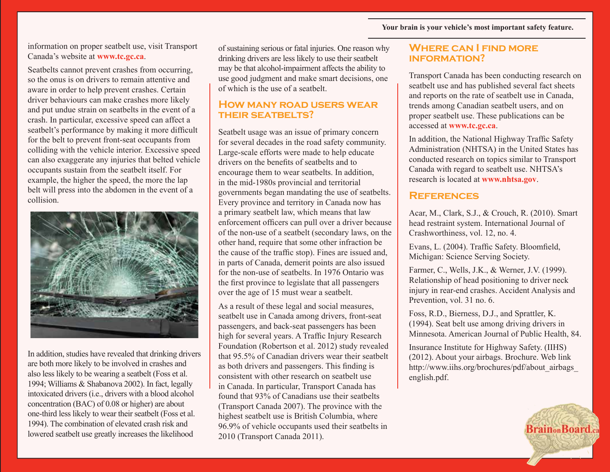information on proper seatbelt use, visit Transport Canada's website at **www.tc.gc.ca**.

Seatbelts cannot prevent crashes from occurring, so the onus is on drivers to remain attentive and aware in order to help prevent crashes. Certain driver behaviours can make crashes more likely and put undue strain on seatbelts in the event of a crash. In particular, excessive speed can affect a seatbelt's performance by making it more difficult for the belt to prevent front-seat occupants from colliding with the vehicle interior. Excessive speed can also exaggerate any injuries that belted vehicle occupants sustain from the seatbelt itself. For example, the higher the speed, the more the lap belt will press into the abdomen in the event of a collision.



In addition, studies have revealed that drinking drivers are both more likely to be involved in crashes and also less likely to be wearing a seatbelt (Foss et al. 1994; Williams & Shabanova 2002). In fact, legally intoxicated drivers (i.e., drivers with a blood alcohol concentration (BAC) of 0.08 or higher) are about one-third less likely to wear their seatbelt (Foss et al. 1994). The combination of elevated crash risk and lowered seatbelt use greatly increases the likelihood

of sustaining serious or fatal injuries. One reason why drinking drivers are less likely to use their seatbelt may be that alcohol-impairment affects the ability to use good judgment and make smart decisions, one of which is the use of a seatbelt.

#### **How many road users wear their seatbelts?**

Seatbelt usage was an issue of primary concern for several decades in the road safety community. Large-scale efforts were made to help educate drivers on the benefits of seatbelts and to encourage them to wear seatbelts. In addition, in the mid-1980s provincial and territorial governments began mandating the use of seatbelts. Every province and territory in Canada now has a primary seatbelt law, which means that law enforcement officers can pull over a driver because of the non-use of a seatbelt (secondary laws, on the other hand, require that some other infraction be the cause of the traffic stop). Fines are issued and, in parts of Canada, demerit points are also issued for the non-use of seatbelts. In 1976 Ontario was the first province to legislate that all passengers over the age of 15 must wear a seatbelt.

As a result of these legal and social measures, seatbelt use in Canada among drivers, front-seat passengers, and back-seat passengers has been high for several years. A Traffic Injury Research Foundation (Robertson et al. 2012) study revealed that 95.5% of Canadian drivers wear their seatbelt as both drivers and passengers. This finding is consistent with other research on seatbelt use in Canada. In particular, Transport Canada has found that 93% of Canadians use their seatbelts (Transport Canada 2007). The province with the highest seatbelt use is British Columbia, where 96.9% of vehicle occupants used their seatbelts in 2010 (Transport Canada 2011).

#### **Where can I find more information?**

Transport Canada has been conducting research on seatbelt use and has published several fact sheets and reports on the rate of seatbelt use in Canada, trends among Canadian seatbelt users, and on proper seatbelt use. These publications can be accessed at **www.tc.gc.ca**.

In addition, the National Highway Traffic Safety Administration (NHTSA) in the United States has conducted research on topics similar to Transport Canada with regard to seatbelt use. NHTSA's research is located at **www.nhtsa.gov**.

#### **References**

Acar, M., Clark, S.J., & Crouch, R. (2010). Smart head restraint system. International Journal of Crashworthiness, vol. 12, no. 4.

Evans, L. (2004). Traffic Safety. Bloomfield, Michigan: Science Serving Society.

Farmer, C., Wells, J.K., & Werner, J.V. (1999). Relationship of head positioning to driver neck injury in rear-end crashes. Accident Analysis and Prevention, vol. 31 no. 6.

Foss, R.D., Bierness, D.J., and Sprattler, K. (1994). Seat belt use among driving drivers in Minnesota. American Journal of Public Health, 84.

Insurance Institute for Highway Safety. (IIHS) (2012). About your airbags. Brochure. Web link http://www.iihs.org/brochures/pdf/about\_airbags\_ english.pdf.